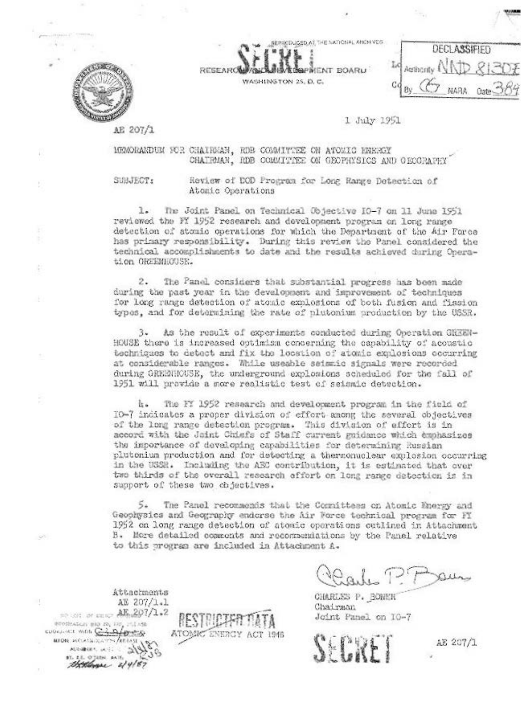

BERICDUCED AT THE NATIONAL ANDN VES-RESEARC PIKENT BOARU WASHINGTON 25, D. C.

**DECLASSIFIED** Authority 1 Gd **ARAH** Oate-

1 July 1951

AE 207/1

MENORARDUM FOR CHAIRMAN, RDB COMMITTEE ON ATOMIC ENERGY CHAIRMAN, RDB COMMITTEE ON GEOPHYSICS AND GEOGRAPHY

SUBJECT:

Review of DOD Program for Long Range Detection of Atomic Operations

The Joint Panel on Technical Objective IO-7 on 11 June 1951 l. reviewed the FY 1952 research and development program on long range detection of stomic operations for which the Department of the Air Force has primary responsibility. During this review the Panel considered the technical accomplishments to date and the results achieved during Operation OREENHOUSE.

 $2.$ The Panel considers that substantial progress has been made during the past year in the development and improvement of techniques for long range detection of atomic explosions of both fusion and fission types, and for determining the rate of plutonium production by the USSR.

 $3.$ As the result of experiments conducted during Operation GREEN-HOUSE there is increased optimism concerning the capability of acoustic techniques to detect and fix the location of atomic explosions occurring at considerable ranges. While useable seismic signals were recorded during GREENHOUSE, the underground explosions scheduled for the fall of 1951 will provide a more realistic test of seismic detection.

h. The FY 1952 research and development program in the field of IO-7 indicates a proper division of effort among the several objectives of the long range detection program. This division of effort is in accord with the Joint Chiefs of Staff current guidance which emphasizes the importance of developing capabilities for determining Russian plutonium production and for detecting a thermonuclear explosion occurring in the USSR. Including the AEC contribution, it is estimated that over two thirds of the overall research effort on long range detection is in support of these two chjactives.

The Panel recommends that the Cosmittees on Atomic Energy and Geophysics and Geography endorse the Air Force technical program for FI 1952 on long range detection of atomic operations outlined in Attachment B. More detailed comments and recommendations by the Panel relative to this program are included in Attachment A.

CHARLES P. BONER Chairman Joint Panel on 10-7

AE 207/1

Attachments AE 207/1.1 secon or case AE 207/1.2 economics and recipe rules CUDICALL WITH CARACTERS MION MCLASSICATION AREASE ANGELIC WELL 97. 2.3. 0 322N. AA16 theologue 44/87

×.

ATOMC ENERGY ACT 1946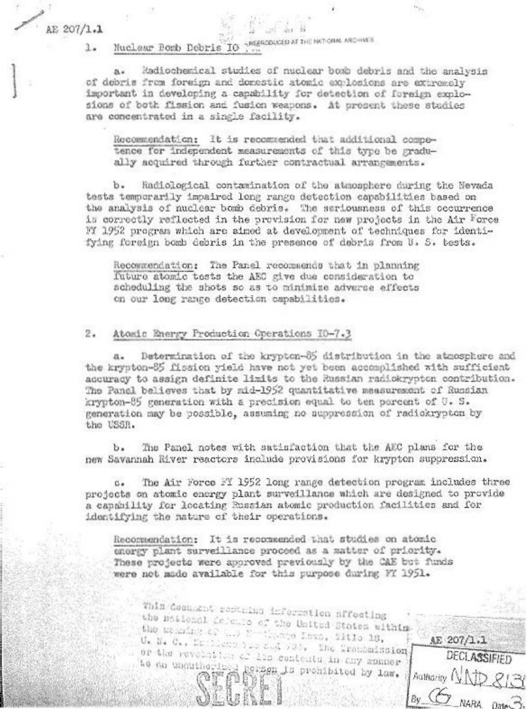AE  $207/1.1$ 

- REPRODUCED AT THE NATIONAL ARCHIVES Muclear Bomb Debris IO 1.

Radiochemical studies of nuclear bomb debris and the analysis  $\mathbf{a}$ of debris from foreign and donestic atomic explosions are extremely important in developing a capability for detection of foreign explosions of both fission and fusion weapons. At propent these studies are concentrated in a single facility.

Recommendation: It is recommended that additional competence for independent measurements of this type be gradually acquired through further contractual arrangements.

b. Radiological contamination of the atmosphere during the Nevada tests temporarily impaired long range detection capabilities based on the analysis of nuclear bomb debris. The seriousness of this occurrence is correctly reflected in the provision for new projects in the Air Force FY 1952 program which are aimed at development of techniques for identifying foreign bomb debris in the presence of debris from U. S. tests.

Recommendation: The Panel recommends that in planning future atomic tests the AEC give due consideration to scheduling the shots so as to minimize adverse effects on our long range detection capabilities.

## $2.$ Atomic Energy Production Operations I0-7.3

Determination of the krypton-85 distribution in the atmosphere and the krypton-85 fission yield have not yet been accomplished with sufficient accuracy to assign definite limits to the Russian radiokrypton contribution. The Panel believes that by mid-1952 quantitative measurement of Russian krypton-85 generation with a precision equal to ten percent of U.S. generation may be possible, assuming no auppression of radiokrypton by the USSR.

The Panel notes with satisfaction that the AEC plans for the  $b$ . new Savannah River reactors include provisions for krypton suppression.

The Air Force FI 1952 long range detection program includes three  $C_{\bullet}$ projects on atomic energy plant surveillance which are designed to provide a capability for locating Russian atomic production facilities and for identifying the nature of their operations.

Recommendation: It is recommended that studies on atomic energy plant surveillance proceed as a matter of priority. These projects were approved previously by the CAE but funds were not made available for this purpose during FY 1951.

This Commont pertuing information nffecting the national defence of the United States within the manufact of L.D Newthere Inno, iitle 18, U. N. C., Drilleng has and 730. The Transmission AE 207/1.1 or the revolution of 115 centents in thy manner **DECLASSIFIED** to do enguineringly person is prohibited by law. Authority NAD 8131  $\n *By*  $\overline{C}$  NARA 03100  $\overline{B}$$